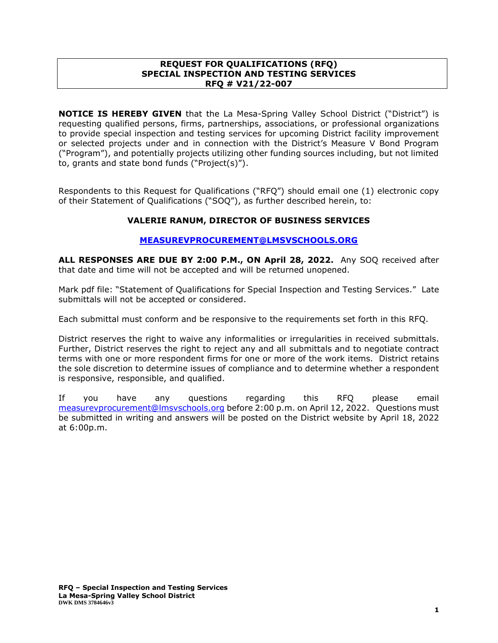### **REQUEST FOR QUALIFICATIONS (RFQ) SPECIAL INSPECTION AND TESTING SERVICES RFQ # V21/22-007**

**NOTICE IS HEREBY GIVEN** that the La Mesa-Spring Valley School District ("District") is requesting qualified persons, firms, partnerships, associations, or professional organizations to provide special inspection and testing services for upcoming District facility improvement or selected projects under and in connection with the District's Measure V Bond Program ("Program"), and potentially projects utilizing other funding sources including, but not limited to, grants and state bond funds ("Project(s)").

Respondents to this Request for Qualifications ("RFQ") should email one (1) electronic copy of their Statement of Qualifications ("SOQ"), as further described herein, to:

### **VALERIE RANUM, DIRECTOR OF BUSINESS SERVICES**

### **[MEASUREVPROCUREMENT@LMSVSCHOOLS.ORG](mailto:measurevprocurement@lmsvschools.org)**

**ALL RESPONSES ARE DUE BY 2:00 P.M., ON April 28, 2022.** Any SOQ received after that date and time will not be accepted and will be returned unopened.

Mark pdf file: "Statement of Qualifications for Special Inspection and Testing Services." Late submittals will not be accepted or considered.

Each submittal must conform and be responsive to the requirements set forth in this RFQ.

District reserves the right to waive any informalities or irregularities in received submittals. Further, District reserves the right to reject any and all submittals and to negotiate contract terms with one or more respondent firms for one or more of the work items. District retains the sole discretion to determine issues of compliance and to determine whether a respondent is responsive, responsible, and qualified.

If you have any questions regarding this RFQ please email [measurevprocurement@lmsvschools.org](mailto:measurevprocurement@lmsvschools.org) before 2:00 p.m. on April 12, 2022. Questions must be submitted in writing and answers will be posted on the District website by April 18, 2022 at 6:00p.m.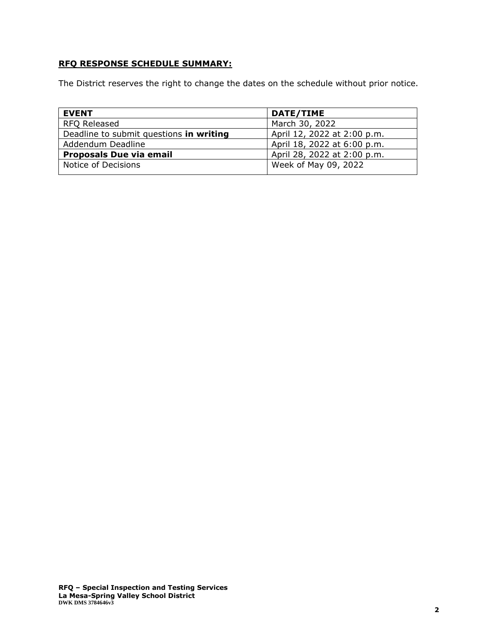## **RFQ RESPONSE SCHEDULE SUMMARY:**

The District reserves the right to change the dates on the schedule without prior notice.

| <b>EVENT</b>                            | DATE/TIME                   |
|-----------------------------------------|-----------------------------|
| RFQ Released                            | March 30, 2022              |
| Deadline to submit questions in writing | April 12, 2022 at 2:00 p.m. |
| Addendum Deadline                       | April 18, 2022 at 6:00 p.m. |
| <b>Proposals Due via email</b>          | April 28, 2022 at 2:00 p.m. |
| Notice of Decisions                     | Week of May 09, 2022        |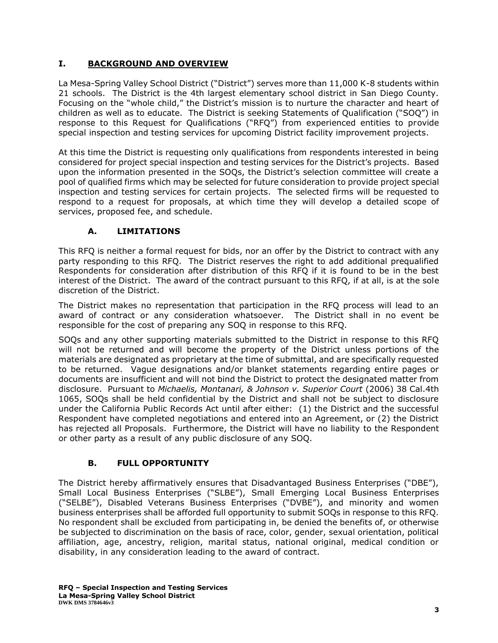# **I. BACKGROUND AND OVERVIEW**

La Mesa-Spring Valley School District ("District") serves more than 11,000 K-8 students within 21 schools. The District is the 4th largest elementary school district in San Diego County. Focusing on the "whole child," the District's mission is to nurture the character and heart of children as well as to educate. The District is seeking Statements of Qualification ("SOQ") in response to this Request for Qualifications ("RFQ") from experienced entities to provide special inspection and testing services for upcoming District facility improvement projects.

At this time the District is requesting only qualifications from respondents interested in being considered for project special inspection and testing services for the District's projects. Based upon the information presented in the SOQs, the District's selection committee will create a pool of qualified firms which may be selected for future consideration to provide project special inspection and testing services for certain projects. The selected firms will be requested to respond to a request for proposals, at which time they will develop a detailed scope of services, proposed fee, and schedule.

## **A. LIMITATIONS**

This RFQ is neither a formal request for bids, nor an offer by the District to contract with any party responding to this RFQ. The District reserves the right to add additional prequalified Respondents for consideration after distribution of this RFQ if it is found to be in the best interest of the District. The award of the contract pursuant to this RFQ, if at all, is at the sole discretion of the District.

The District makes no representation that participation in the RFQ process will lead to an award of contract or any consideration whatsoever. The District shall in no event be responsible for the cost of preparing any SOQ in response to this RFQ.

SOQs and any other supporting materials submitted to the District in response to this RFQ will not be returned and will become the property of the District unless portions of the materials are designated as proprietary at the time of submittal, and are specifically requested to be returned. Vague designations and/or blanket statements regarding entire pages or documents are insufficient and will not bind the District to protect the designated matter from disclosure. Pursuant to *Michaelis, Montanari, & Johnson v. Superior Court* (2006) 38 Cal.4th 1065, SOQs shall be held confidential by the District and shall not be subject to disclosure under the California Public Records Act until after either: (1) the District and the successful Respondent have completed negotiations and entered into an Agreement, or (2) the District has rejected all Proposals. Furthermore, the District will have no liability to the Respondent or other party as a result of any public disclosure of any SOQ.

# **B. FULL OPPORTUNITY**

The District hereby affirmatively ensures that Disadvantaged Business Enterprises ("DBE"), Small Local Business Enterprises ("SLBE"), Small Emerging Local Business Enterprises ("SELBE"), Disabled Veterans Business Enterprises ("DVBE"), and minority and women business enterprises shall be afforded full opportunity to submit SOQs in response to this RFQ. No respondent shall be excluded from participating in, be denied the benefits of, or otherwise be subjected to discrimination on the basis of race, color, gender, sexual orientation, political affiliation, age, ancestry, religion, marital status, national original, medical condition or disability, in any consideration leading to the award of contract.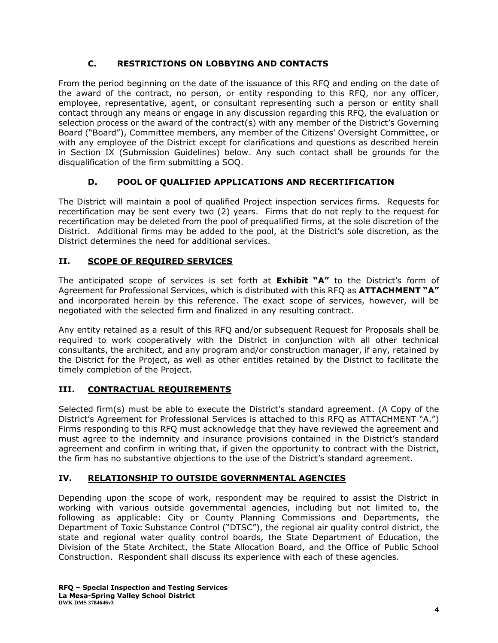# **C. RESTRICTIONS ON LOBBYING AND CONTACTS**

From the period beginning on the date of the issuance of this RFQ and ending on the date of the award of the contract, no person, or entity responding to this RFQ, nor any officer, employee, representative, agent, or consultant representing such a person or entity shall contact through any means or engage in any discussion regarding this RFQ, the evaluation or selection process or the award of the contract(s) with any member of the District's Governing Board ("Board"), Committee members, any member of the Citizens' Oversight Committee, or with any employee of the District except for clarifications and questions as described herein in Section IX (Submission Guidelines) below. Any such contact shall be grounds for the disqualification of the firm submitting a SOQ.

# **D. POOL OF QUALIFIED APPLICATIONS AND RECERTIFICATION**

The District will maintain a pool of qualified Project inspection services firms. Requests for recertification may be sent every two (2) years. Firms that do not reply to the request for recertification may be deleted from the pool of prequalified firms, at the sole discretion of the District. Additional firms may be added to the pool, at the District's sole discretion, as the District determines the need for additional services.

# **II. SCOPE OF REQUIRED SERVICES**

The anticipated scope of services is set forth at **Exhibit "A"** to the District's form of Agreement for Professional Services, which is distributed with this RFQ as **ATTACHMENT "A"** and incorporated herein by this reference. The exact scope of services, however, will be negotiated with the selected firm and finalized in any resulting contract.

Any entity retained as a result of this RFQ and/or subsequent Request for Proposals shall be required to work cooperatively with the District in conjunction with all other technical consultants, the architect, and any program and/or construction manager, if any, retained by the District for the Project, as well as other entitles retained by the District to facilitate the timely completion of the Project.

# **III. CONTRACTUAL REQUIREMENTS**

Selected firm(s) must be able to execute the District's standard agreement. (A Copy of the District's Agreement for Professional Services is attached to this RFQ as ATTACHMENT "A.") Firms responding to this RFQ must acknowledge that they have reviewed the agreement and must agree to the indemnity and insurance provisions contained in the District's standard agreement and confirm in writing that, if given the opportunity to contract with the District, the firm has no substantive objections to the use of the District's standard agreement.

# **IV. RELATIONSHIP TO OUTSIDE GOVERNMENTAL AGENCIES**

Depending upon the scope of work, respondent may be required to assist the District in working with various outside governmental agencies, including but not limited to, the following as applicable: City or County Planning Commissions and Departments, the Department of Toxic Substance Control ("DTSC"), the regional air quality control district, the state and regional water quality control boards, the State Department of Education, the Division of the State Architect, the State Allocation Board, and the Office of Public School Construction. Respondent shall discuss its experience with each of these agencies.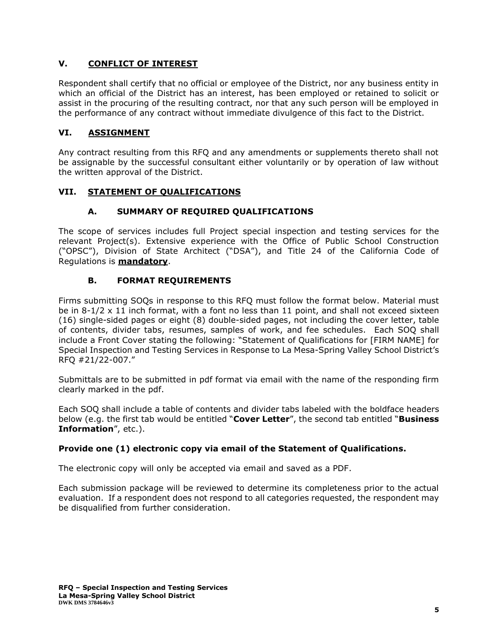## **V. CONFLICT OF INTEREST**

Respondent shall certify that no official or employee of the District, nor any business entity in which an official of the District has an interest, has been employed or retained to solicit or assist in the procuring of the resulting contract, nor that any such person will be employed in the performance of any contract without immediate divulgence of this fact to the District.

## **VI. ASSIGNMENT**

Any contract resulting from this RFQ and any amendments or supplements thereto shall not be assignable by the successful consultant either voluntarily or by operation of law without the written approval of the District.

## **VII. STATEMENT OF QUALIFICATIONS**

## **A. SUMMARY OF REQUIRED QUALIFICATIONS**

The scope of services includes full Project special inspection and testing services for the relevant Project(s). Extensive experience with the Office of Public School Construction ("OPSC"), Division of State Architect ("DSA"), and Title 24 of the California Code of Regulations is **mandatory**.

## **B. FORMAT REQUIREMENTS**

Firms submitting SOQs in response to this RFQ must follow the format below. Material must be in 8-1/2 x 11 inch format, with a font no less than 11 point, and shall not exceed sixteen (16) single-sided pages or eight (8) double-sided pages, not including the cover letter, table of contents, divider tabs, resumes, samples of work, and fee schedules. Each SOQ shall include a Front Cover stating the following: "Statement of Qualifications for [FIRM NAME] for Special Inspection and Testing Services in Response to La Mesa-Spring Valley School District's RFQ #21/22-007."

Submittals are to be submitted in pdf format via email with the name of the responding firm clearly marked in the pdf.

Each SOQ shall include a table of contents and divider tabs labeled with the boldface headers below (e.g. the first tab would be entitled "**Cover Letter**", the second tab entitled "**Business Information**", etc.).

## **Provide one (1) electronic copy via email of the Statement of Qualifications.**

The electronic copy will only be accepted via email and saved as a PDF.

Each submission package will be reviewed to determine its completeness prior to the actual evaluation. If a respondent does not respond to all categories requested, the respondent may be disqualified from further consideration.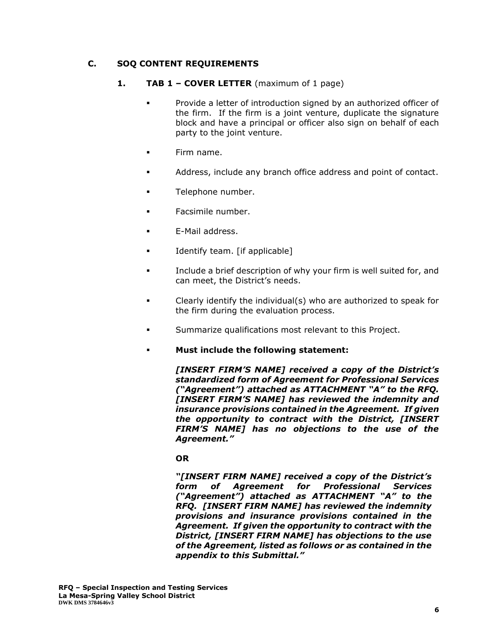### **C. SOQ CONTENT REQUIREMENTS**

### **1. TAB 1 – COVER LETTER** (maximum of 1 page)

- Provide a letter of introduction signed by an authorized officer of the firm. If the firm is a joint venture, duplicate the signature block and have a principal or officer also sign on behalf of each party to the joint venture.
- Firm name.
- Address, include any branch office address and point of contact.
- Telephone number.
- Facsimile number.
- E-Mail address.
- Identify team. [if applicable]
- Include a brief description of why your firm is well suited for, and can meet, the District's needs.
- Clearly identify the individual(s) who are authorized to speak for the firm during the evaluation process.
- Summarize qualifications most relevant to this Project.
- **Must include the following statement:**

*[INSERT FIRM'S NAME] received a copy of the District's standardized form of Agreement for Professional Services ("Agreement") attached as ATTACHMENT "A" to the RFQ. [INSERT FIRM'S NAME] has reviewed the indemnity and insurance provisions contained in the Agreement. If given the opportunity to contract with the District, [INSERT FIRM'S NAME] has no objections to the use of the Agreement."* 

### **OR**

*"[INSERT FIRM NAME] received a copy of the District's form of Agreement for Professional Services ("Agreement") attached as ATTACHMENT "A" to the RFQ. [INSERT FIRM NAME] has reviewed the indemnity provisions and insurance provisions contained in the Agreement. If given the opportunity to contract with the District, [INSERT FIRM NAME] has objections to the use of the Agreement, listed as follows or as contained in the appendix to this Submittal."*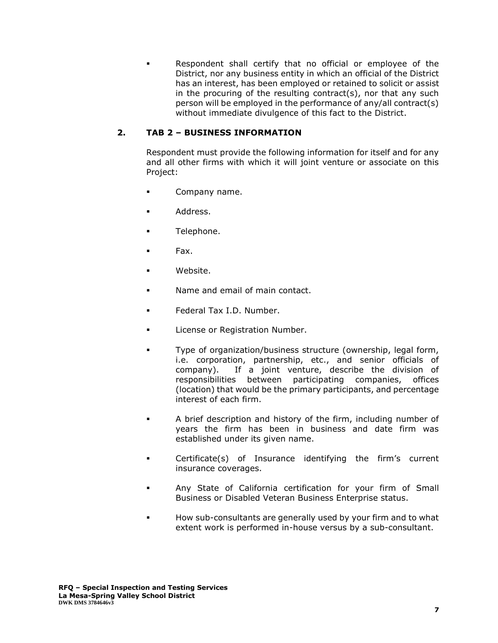Respondent shall certify that no official or employee of the District, nor any business entity in which an official of the District has an interest, has been employed or retained to solicit or assist in the procuring of the resulting contract(s), nor that any such person will be employed in the performance of any/all contract(s) without immediate divulgence of this fact to the District.

## **2. TAB 2 – BUSINESS INFORMATION**

Respondent must provide the following information for itself and for any and all other firms with which it will joint venture or associate on this Project:

- Company name.
- Address.
- Telephone.
- Fax.
- Website
- Name and email of main contact.
- Federal Tax I.D. Number.
- License or Registration Number.
- Type of organization/business structure (ownership, legal form, i.e. corporation, partnership, etc., and senior officials of company). If a joint venture, describe the division of responsibilities between participating companies, offices (location) that would be the primary participants, and percentage interest of each firm.
- A brief description and history of the firm, including number of years the firm has been in business and date firm was established under its given name.
- Certificate(s) of Insurance identifying the firm's current insurance coverages.
- Any State of California certification for your firm of Small Business or Disabled Veteran Business Enterprise status.
- How sub-consultants are generally used by your firm and to what extent work is performed in-house versus by a sub-consultant.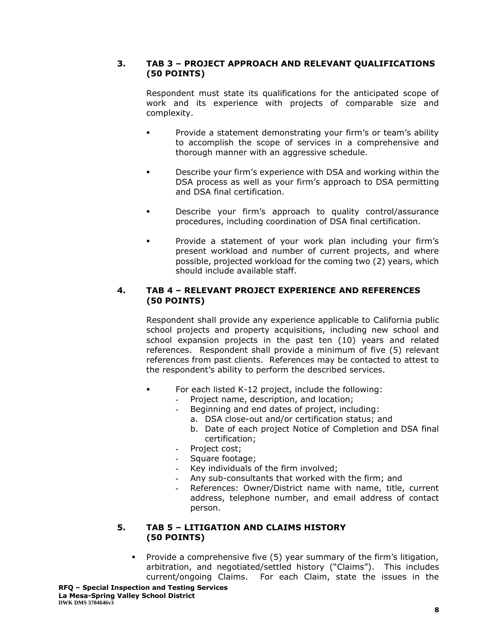## **3. TAB 3 – PROJECT APPROACH AND RELEVANT QUALIFICATIONS (50 POINTS)**

Respondent must state its qualifications for the anticipated scope of work and its experience with projects of comparable size and complexity.

- Provide a statement demonstrating your firm's or team's ability to accomplish the scope of services in a comprehensive and thorough manner with an aggressive schedule.
- Describe your firm's experience with DSA and working within the DSA process as well as your firm's approach to DSA permitting and DSA final certification.
- Describe your firm's approach to quality control/assurance procedures, including coordination of DSA final certification.
- Provide a statement of your work plan including your firm's present workload and number of current projects, and where possible, projected workload for the coming two (2) years, which should include available staff.

## **4. TAB 4 – RELEVANT PROJECT EXPERIENCE AND REFERENCES (50 POINTS)**

Respondent shall provide any experience applicable to California public school projects and property acquisitions, including new school and school expansion projects in the past ten (10) years and related references. Respondent shall provide a minimum of five (5) relevant references from past clients. References may be contacted to attest to the respondent's ability to perform the described services.

- For each listed K-12 project, include the following:
	- **-** Project name, description, and location;
		- **-** Beginning and end dates of project, including:
			- a. DSA close-out and/or certification status; and
			- b. Date of each project Notice of Completion and DSA final certification;
	- **-** Project cost;
	- **-** Square footage;
	- **-** Key individuals of the firm involved;
	- **-** Any sub-consultants that worked with the firm; and
	- **-** References: Owner/District name with name, title, current address, telephone number, and email address of contact person.

### **5. TAB 5 – LITIGATION AND CLAIMS HISTORY (50 POINTS)**

Provide a comprehensive five (5) year summary of the firm's litigation, arbitration, and negotiated/settled history ("Claims"). This includes current/ongoing Claims. For each Claim, state the issues in the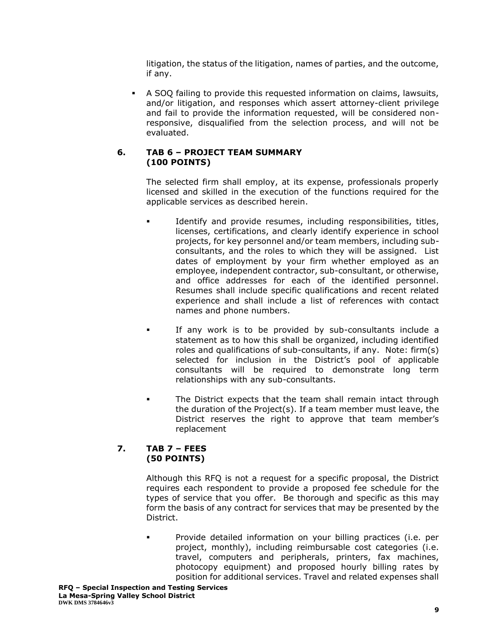litigation, the status of the litigation, names of parties, and the outcome, if any.

A SOQ failing to provide this requested information on claims, lawsuits, and/or litigation, and responses which assert attorney-client privilege and fail to provide the information requested, will be considered nonresponsive, disqualified from the selection process, and will not be evaluated.

## **6. TAB 6 – PROJECT TEAM SUMMARY (100 POINTS)**

The selected firm shall employ, at its expense, professionals properly licensed and skilled in the execution of the functions required for the applicable services as described herein.

- Identify and provide resumes, including responsibilities, titles, licenses, certifications, and clearly identify experience in school projects, for key personnel and/or team members, including subconsultants, and the roles to which they will be assigned. List dates of employment by your firm whether employed as an employee, independent contractor, sub-consultant, or otherwise, and office addresses for each of the identified personnel. Resumes shall include specific qualifications and recent related experience and shall include a list of references with contact names and phone numbers.
- If any work is to be provided by sub-consultants include a statement as to how this shall be organized, including identified roles and qualifications of sub-consultants, if any. Note: firm(s) selected for inclusion in the District's pool of applicable consultants will be required to demonstrate long term relationships with any sub-consultants.
- The District expects that the team shall remain intact through the duration of the Project(s). If a team member must leave, the District reserves the right to approve that team member's replacement

## **7. TAB 7 – FEES (50 POINTS)**

Although this RFQ is not a request for a specific proposal, the District requires each respondent to provide a proposed fee schedule for the types of service that you offer. Be thorough and specific as this may form the basis of any contract for services that may be presented by the District.

▪ Provide detailed information on your billing practices (i.e. per project, monthly), including reimbursable cost categories (i.e. travel, computers and peripherals, printers, fax machines, photocopy equipment) and proposed hourly billing rates by position for additional services. Travel and related expenses shall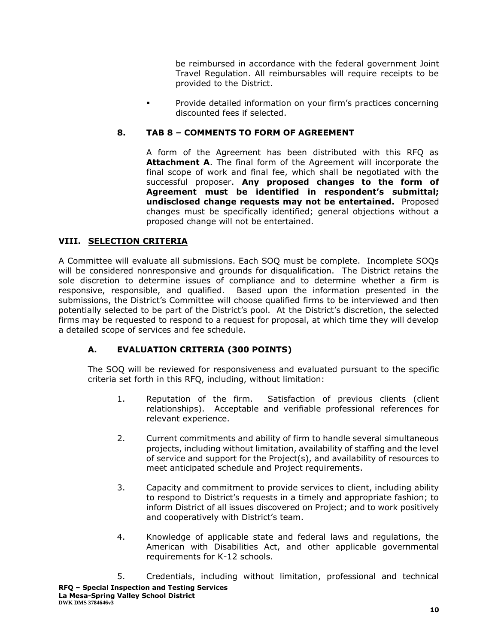be reimbursed in accordance with the federal government Joint Travel Regulation. All reimbursables will require receipts to be provided to the District.

Provide detailed information on your firm's practices concerning discounted fees if selected.

## **8. TAB 8 – COMMENTS TO FORM OF AGREEMENT**

A form of the Agreement has been distributed with this RFQ as **Attachment A**. The final form of the Agreement will incorporate the final scope of work and final fee, which shall be negotiated with the successful proposer. **Any proposed changes to the form of Agreement must be identified in respondent's submittal; undisclosed change requests may not be entertained.** Proposed changes must be specifically identified; general objections without a proposed change will not be entertained.

# **VIII. SELECTION CRITERIA**

A Committee will evaluate all submissions. Each SOQ must be complete. Incomplete SOQs will be considered nonresponsive and grounds for disqualification. The District retains the sole discretion to determine issues of compliance and to determine whether a firm is responsive, responsible, and qualified. Based upon the information presented in the submissions, the District's Committee will choose qualified firms to be interviewed and then potentially selected to be part of the District's pool. At the District's discretion, the selected firms may be requested to respond to a request for proposal, at which time they will develop a detailed scope of services and fee schedule.

# **A. EVALUATION CRITERIA (300 POINTS)**

The SOQ will be reviewed for responsiveness and evaluated pursuant to the specific criteria set forth in this RFQ, including, without limitation:

- 1. Reputation of the firm. Satisfaction of previous clients (client relationships). Acceptable and verifiable professional references for relevant experience.
- 2. Current commitments and ability of firm to handle several simultaneous projects, including without limitation, availability of staffing and the level of service and support for the Project(s), and availability of resources to meet anticipated schedule and Project requirements.
- 3. Capacity and commitment to provide services to client, including ability to respond to District's requests in a timely and appropriate fashion; to inform District of all issues discovered on Project; and to work positively and cooperatively with District's team.
- 4. Knowledge of applicable state and federal laws and regulations, the American with Disabilities Act, and other applicable governmental requirements for K-12 schools.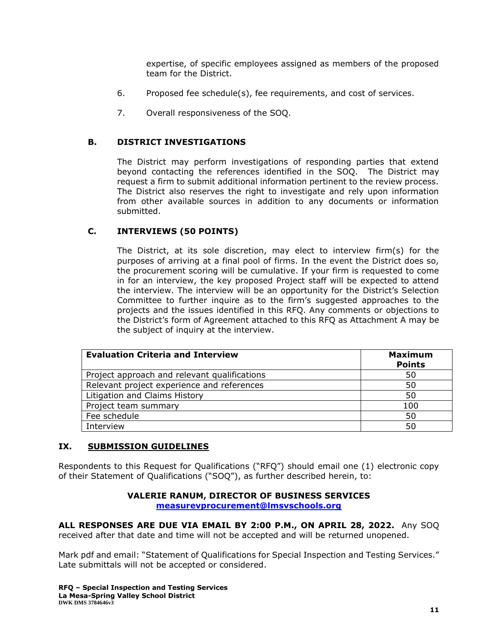expertise, of specific employees assigned as members of the proposed team for the District.

- 6. Proposed fee schedule(s), fee requirements, and cost of services.
- 7. Overall responsiveness of the SOQ.

### **B. DISTRICT INVESTIGATIONS**

The District may perform investigations of responding parties that extend beyond contacting the references identified in the SOQ. The District may request a firm to submit additional information pertinent to the review process. The District also reserves the right to investigate and rely upon information from other available sources in addition to any documents or information submitted.

### **C. INTERVIEWS (50 POINTS)**

The District, at its sole discretion, may elect to interview firm(s) for the purposes of arriving at a final pool of firms. In the event the District does so, the procurement scoring will be cumulative. If your firm is requested to come in for an interview, the key proposed Project staff will be expected to attend the interview. The interview will be an opportunity for the District's Selection Committee to further inquire as to the firm's suggested approaches to the projects and the issues identified in this RFQ. Any comments or objections to the District's form of Agreement attached to this RFQ as Attachment A may be the subject of inquiry at the interview.

| <b>Evaluation Criteria and Interview</b>     | <b>Maximum</b><br><b>Points</b> |
|----------------------------------------------|---------------------------------|
| Project approach and relevant qualifications | 50                              |
| Relevant project experience and references   | 50                              |
| Litigation and Claims History                | 50                              |
| Project team summary                         | 100                             |
| Fee schedule                                 | 50                              |
| Interview                                    | 50                              |

## **IX. SUBMISSION GUIDELINES**

Respondents to this Request for Qualifications ("RFQ") should email one (1) electronic copy of their Statement of Qualifications ("SOQ"), as further described herein, to:

### **VALERIE RANUM, DIRECTOR OF BUSINESS SERVICES [measurevprocurement@lmsvschools.org](mailto:measurevprocurement@lmsvschools.org)**

**ALL RESPONSES ARE DUE VIA EMAIL BY 2:00 P.M., ON APRIL 28, 2022.** Any SOQ received after that date and time will not be accepted and will be returned unopened.

Mark pdf and email: "Statement of Qualifications for Special Inspection and Testing Services." Late submittals will not be accepted or considered.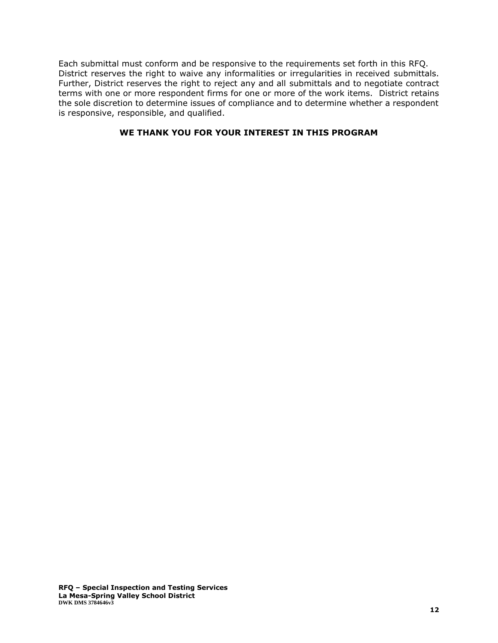Each submittal must conform and be responsive to the requirements set forth in this RFQ. District reserves the right to waive any informalities or irregularities in received submittals. Further, District reserves the right to reject any and all submittals and to negotiate contract terms with one or more respondent firms for one or more of the work items. District retains the sole discretion to determine issues of compliance and to determine whether a respondent is responsive, responsible, and qualified.

### **WE THANK YOU FOR YOUR INTEREST IN THIS PROGRAM**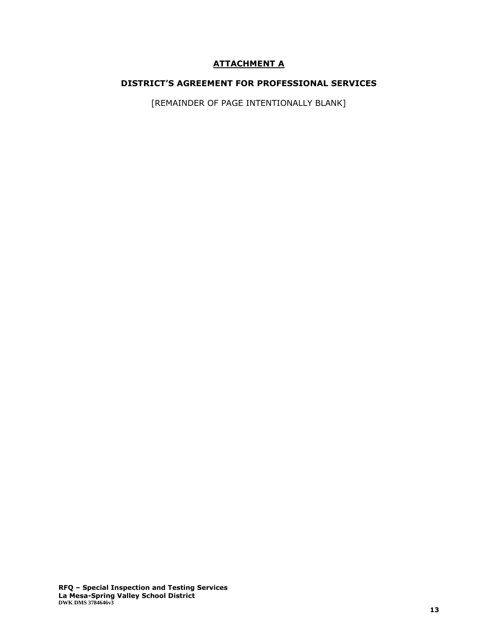## **ATTACHMENT A**

### **DISTRICT'S AGREEMENT FOR PROFESSIONAL SERVICES**

[REMAINDER OF PAGE INTENTIONALLY BLANK]

**RFQ – Special Inspection and Testing Services La Mesa-Spring Valley School District DWK DMS 3784646v3**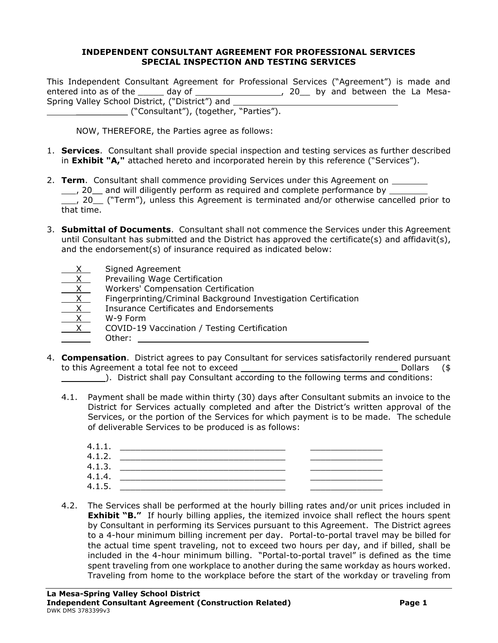#### **INDEPENDENT CONSULTANT AGREEMENT FOR PROFESSIONAL SERVICES SPECIAL INSPECTION AND TESTING SERVICES**

This Independent Consultant Agreement for Professional Services ("Agreement") is made and entered into as of the \_\_\_\_\_\_\_ day of \_\_\_\_\_\_\_\_\_\_\_\_\_\_\_\_\_\_\_\_\_\_\_\_, 20\_\_\_ by and between the La Mesa-Spring Valley School District, ("District") and \_\_\_\_\_\_\_\_\_\_ ("Consultant"), (together, "Parties").

NOW, THEREFORE, the Parties agree as follows:

- 1. **Services**. Consultant shall provide special inspection and testing services as further described in **Exhibit "A,"** attached hereto and incorporated herein by this reference ("Services").
- 2. **Term**. Consultant shall commence providing Services under this Agreement on \_\_\_\_, 20\_\_ and will diligently perform as required and complete performance by \_\_\_\_\_\_\_ , 20\_\_ ("Term"), unless this Agreement is terminated and/or otherwise cancelled prior to that time.
- 3. **Submittal of Documents**. Consultant shall not commence the Services under this Agreement until Consultant has submitted and the District has approved the certificate(s) and affidavit(s), and the endorsement(s) of insurance required as indicated below:
	-
	- $X$  Signed Agreement<br>X Prevailing Wage Ce Prevailing Wage Certification
	- X Workers' Compensation Certification
	- Fingerprinting/Criminal Background Investigation Certification
	- X Insurance Certificates and Endorsements
	- X W-9 Form
	- $\overline{X}$  COVID-19 Vaccination / Testing Certification
	- Other: with the contract of the contract of the contract of the contract of the contract of the contract of the contract of the contract of the contract of the contract of the contract of the contract of the contract of th
- 4. **Compensation**. District agrees to pay Consultant for services satisfactorily rendered pursuant to this Agreement a total fee not to exceed Dollars (\$
	- (1991). District shall pay Consultant according to the following terms and conditions:
	- 4.1. Payment shall be made within thirty (30) days after Consultant submits an invoice to the District for Services actually completed and after the District's written approval of the Services, or the portion of the Services for which payment is to be made. The schedule of deliverable Services to be produced is as follows:
		- 4.1.1. \_\_\_\_\_\_\_\_\_\_\_\_\_\_\_\_\_\_\_\_\_\_\_\_\_\_\_\_\_\_\_\_ \_\_\_\_\_\_\_\_\_\_\_\_\_\_ 4.1.2. \_\_\_\_\_\_\_\_\_\_\_\_\_\_\_\_\_\_\_\_\_\_\_\_\_\_\_\_\_\_\_\_ \_\_\_\_\_\_\_\_\_\_\_\_\_\_ 4.1.3. \_\_\_\_\_\_\_\_\_\_\_\_\_\_\_\_\_\_\_\_\_\_\_\_\_\_\_\_\_\_\_\_ \_\_\_\_\_\_\_\_\_\_\_\_\_\_ 4.1.4. \_\_\_\_\_\_\_\_\_\_\_\_\_\_\_\_\_\_\_\_\_\_\_\_\_\_\_\_\_\_\_\_ \_\_\_\_\_\_\_\_\_\_\_\_\_\_  $4.1.5.$
	- 4.2. The Services shall be performed at the hourly billing rates and/or unit prices included in **Exhibit "B."** If hourly billing applies, the itemized invoice shall reflect the hours spent by Consultant in performing its Services pursuant to this Agreement. The District agrees to a 4-hour minimum billing increment per day. Portal-to-portal travel may be billed for the actual time spent traveling, not to exceed two hours per day, and if billed, shall be included in the 4-hour minimum billing. "Portal-to-portal travel" is defined as the time spent traveling from one workplace to another during the same workday as hours worked. Traveling from home to the workplace before the start of the workday or traveling from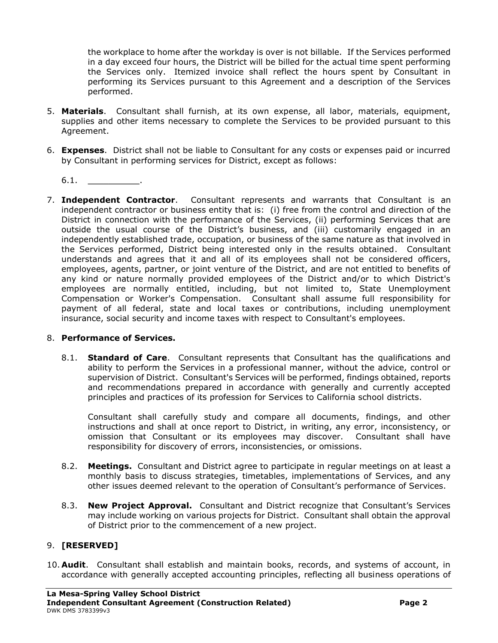the workplace to home after the workday is over is not billable. If the Services performed in a day exceed four hours, the District will be billed for the actual time spent performing the Services only. Itemized invoice shall reflect the hours spent by Consultant in performing its Services pursuant to this Agreement and a description of the Services performed.

- 5. **Materials**. Consultant shall furnish, at its own expense, all labor, materials, equipment, supplies and other items necessary to complete the Services to be provided pursuant to this Agreement.
- 6. **Expenses**. District shall not be liable to Consultant for any costs or expenses paid or incurred by Consultant in performing services for District, except as follows:

 $6.1.$ 

7. **Independent Contractor**. Consultant represents and warrants that Consultant is an independent contractor or business entity that is: (i) free from the control and direction of the District in connection with the performance of the Services, (ii) performing Services that are outside the usual course of the District's business, and (iii) customarily engaged in an independently established trade, occupation, or business of the same nature as that involved in the Services performed, District being interested only in the results obtained. Consultant understands and agrees that it and all of its employees shall not be considered officers, employees, agents, partner, or joint venture of the District, and are not entitled to benefits of any kind or nature normally provided employees of the District and/or to which District's employees are normally entitled, including, but not limited to, State Unemployment Compensation or Worker's Compensation. Consultant shall assume full responsibility for payment of all federal, state and local taxes or contributions, including unemployment insurance, social security and income taxes with respect to Consultant's employees.

### 8. **Performance of Services.**

8.1. **Standard of Care**. Consultant represents that Consultant has the qualifications and ability to perform the Services in a professional manner, without the advice, control or supervision of District. Consultant's Services will be performed, findings obtained, reports and recommendations prepared in accordance with generally and currently accepted principles and practices of its profession for Services to California school districts.

Consultant shall carefully study and compare all documents, findings, and other instructions and shall at once report to District, in writing, any error, inconsistency, or omission that Consultant or its employees may discover. Consultant shall have responsibility for discovery of errors, inconsistencies, or omissions.

- 8.2. **Meetings.** Consultant and District agree to participate in regular meetings on at least a monthly basis to discuss strategies, timetables, implementations of Services, and any other issues deemed relevant to the operation of Consultant's performance of Services.
- 8.3. **New Project Approval.** Consultant and District recognize that Consultant's Services may include working on various projects for District. Consultant shall obtain the approval of District prior to the commencement of a new project.

## 9. **[RESERVED]**

10. **Audit**. Consultant shall establish and maintain books, records, and systems of account, in accordance with generally accepted accounting principles, reflecting all business operations of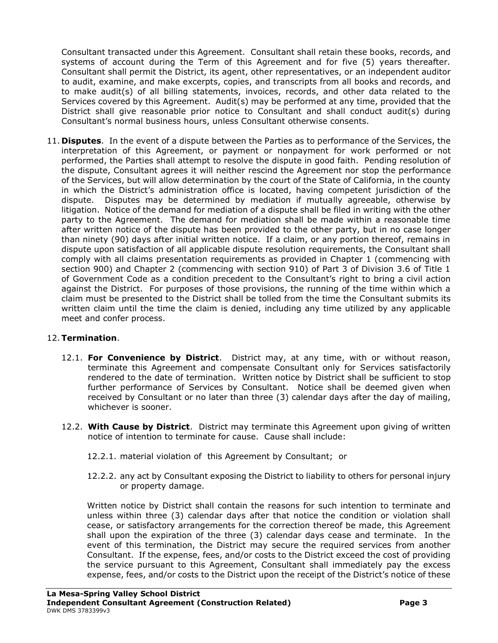Consultant transacted under this Agreement. Consultant shall retain these books, records, and systems of account during the Term of this Agreement and for five (5) years thereafter. Consultant shall permit the District, its agent, other representatives, or an independent auditor to audit, examine, and make excerpts, copies, and transcripts from all books and records, and to make audit(s) of all billing statements, invoices, records, and other data related to the Services covered by this Agreement. Audit(s) may be performed at any time, provided that the District shall give reasonable prior notice to Consultant and shall conduct audit(s) during Consultant's normal business hours, unless Consultant otherwise consents.

11. **Disputes**. In the event of a dispute between the Parties as to performance of the Services, the interpretation of this Agreement, or payment or nonpayment for work performed or not performed, the Parties shall attempt to resolve the dispute in good faith. Pending resolution of the dispute, Consultant agrees it will neither rescind the Agreement nor stop the performance of the Services, but will allow determination by the court of the State of California, in the county in which the District's administration office is located, having competent jurisdiction of the dispute. Disputes may be determined by mediation if mutually agreeable, otherwise by litigation. Notice of the demand for mediation of a dispute shall be filed in writing with the other party to the Agreement. The demand for mediation shall be made within a reasonable time after written notice of the dispute has been provided to the other party, but in no case longer than ninety (90) days after initial written notice. If a claim, or any portion thereof, remains in dispute upon satisfaction of all applicable dispute resolution requirements, the Consultant shall comply with all claims presentation requirements as provided in Chapter 1 (commencing with section 900) and Chapter 2 (commencing with section 910) of Part 3 of Division 3.6 of Title 1 of Government Code as a condition precedent to the Consultant's right to bring a civil action against the District. For purposes of those provisions, the running of the time within which a claim must be presented to the District shall be tolled from the time the Consultant submits its written claim until the time the claim is denied, including any time utilized by any applicable meet and confer process.

### 12.**Termination**.

- 12.1. **For Convenience by District**. District may, at any time, with or without reason, terminate this Agreement and compensate Consultant only for Services satisfactorily rendered to the date of termination. Written notice by District shall be sufficient to stop further performance of Services by Consultant. Notice shall be deemed given when received by Consultant or no later than three (3) calendar days after the day of mailing, whichever is sooner.
- 12.2. **With Cause by District**. District may terminate this Agreement upon giving of written notice of intention to terminate for cause. Cause shall include:
	- 12.2.1. material violation of this Agreement by Consultant; or
	- 12.2.2. any act by Consultant exposing the District to liability to others for personal injury or property damage.

Written notice by District shall contain the reasons for such intention to terminate and unless within three (3) calendar days after that notice the condition or violation shall cease, or satisfactory arrangements for the correction thereof be made, this Agreement shall upon the expiration of the three (3) calendar days cease and terminate. In the event of this termination, the District may secure the required services from another Consultant. If the expense, fees, and/or costs to the District exceed the cost of providing the service pursuant to this Agreement, Consultant shall immediately pay the excess expense, fees, and/or costs to the District upon the receipt of the District's notice of these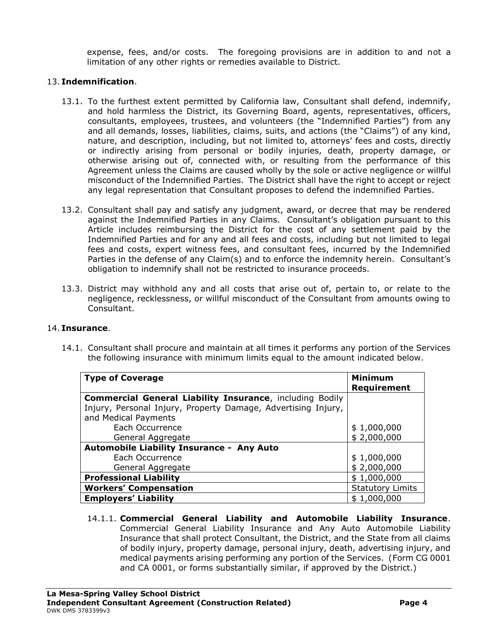expense, fees, and/or costs. The foregoing provisions are in addition to and not a limitation of any other rights or remedies available to District.

### 13. **Indemnification**.

- 13.1. To the furthest extent permitted by California law, Consultant shall defend, indemnify, and hold harmless the District, its Governing Board, agents, representatives, officers, consultants, employees, trustees, and volunteers (the "Indemnified Parties") from any and all demands, losses, liabilities, claims, suits, and actions (the "Claims") of any kind, nature, and description, including, but not limited to, attorneys' fees and costs, directly or indirectly arising from personal or bodily injuries, death, property damage, or otherwise arising out of, connected with, or resulting from the performance of this Agreement unless the Claims are caused wholly by the sole or active negligence or willful misconduct of the Indemnified Parties. The District shall have the right to accept or reject any legal representation that Consultant proposes to defend the indemnified Parties.
- 13.2. Consultant shall pay and satisfy any judgment, award, or decree that may be rendered against the Indemnified Parties in any Claims. Consultant's obligation pursuant to this Article includes reimbursing the District for the cost of any settlement paid by the Indemnified Parties and for any and all fees and costs, including but not limited to legal fees and costs, expert witness fees, and consultant fees, incurred by the Indemnified Parties in the defense of any Claim(s) and to enforce the indemnity herein. Consultant's obligation to indemnify shall not be restricted to insurance proceeds.
- 13.3. District may withhold any and all costs that arise out of, pertain to, or relate to the negligence, recklessness, or willful misconduct of the Consultant from amounts owing to Consultant.

### 14. **Insurance**.

14.1. Consultant shall procure and maintain at all times it performs any portion of the Services the following insurance with minimum limits equal to the amount indicated below.

| <b>Type of Coverage</b>                                                                                                          | <b>Minimum</b><br>Requirement |
|----------------------------------------------------------------------------------------------------------------------------------|-------------------------------|
| <b>Commercial General Liability Insurance, including Bodily</b><br>Injury, Personal Injury, Property Damage, Advertising Injury, |                               |
| and Medical Payments<br>Each Occurrence<br>General Aggregate                                                                     | \$1,000,000<br>\$2,000,000    |
| <b>Automobile Liability Insurance - Any Auto</b><br>Each Occurrence<br>General Aggregate                                         | \$1,000,000<br>\$2,000,000    |
| <b>Professional Liability</b>                                                                                                    | \$1,000,000                   |
| <b>Workers' Compensation</b>                                                                                                     | <b>Statutory Limits</b>       |
| <b>Employers' Liability</b>                                                                                                      | \$1,000,000                   |

14.1.1. **Commercial General Liability and Automobile Liability Insurance**. Commercial General Liability Insurance and Any Auto Automobile Liability Insurance that shall protect Consultant, the District, and the State from all claims of bodily injury, property damage, personal injury, death, advertising injury, and medical payments arising performing any portion of the Services. (Form CG 0001 and CA 0001, or forms substantially similar, if approved by the District.)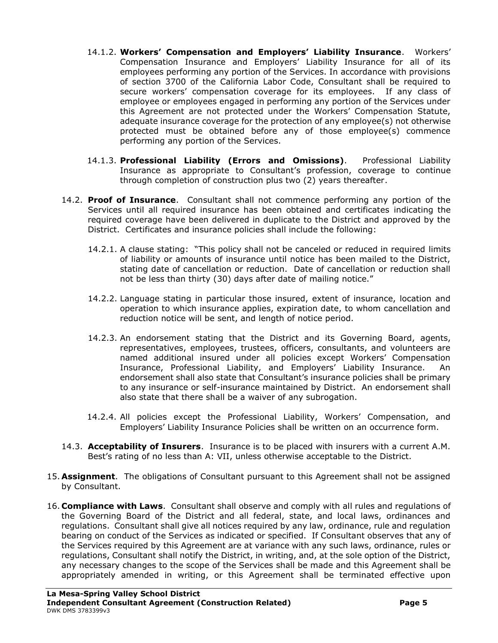- 14.1.2. **Workers' Compensation and Employers' Liability Insurance**. Workers' Compensation Insurance and Employers' Liability Insurance for all of its employees performing any portion of the Services. In accordance with provisions of section 3700 of the California Labor Code, Consultant shall be required to secure workers' compensation coverage for its employees. If any class of employee or employees engaged in performing any portion of the Services under this Agreement are not protected under the Workers' Compensation Statute, adequate insurance coverage for the protection of any employee(s) not otherwise protected must be obtained before any of those employee(s) commence performing any portion of the Services.
- 14.1.3. **Professional Liability (Errors and Omissions)**. Professional Liability Insurance as appropriate to Consultant's profession, coverage to continue through completion of construction plus two (2) years thereafter.
- 14.2. **Proof of Insurance**. Consultant shall not commence performing any portion of the Services until all required insurance has been obtained and certificates indicating the required coverage have been delivered in duplicate to the District and approved by the District. Certificates and insurance policies shall include the following:
	- 14.2.1. A clause stating: "This policy shall not be canceled or reduced in required limits of liability or amounts of insurance until notice has been mailed to the District, stating date of cancellation or reduction. Date of cancellation or reduction shall not be less than thirty (30) days after date of mailing notice."
	- 14.2.2. Language stating in particular those insured, extent of insurance, location and operation to which insurance applies, expiration date, to whom cancellation and reduction notice will be sent, and length of notice period.
	- 14.2.3. An endorsement stating that the District and its Governing Board, agents, representatives, employees, trustees, officers, consultants, and volunteers are named additional insured under all policies except Workers' Compensation Insurance, Professional Liability, and Employers' Liability Insurance. An endorsement shall also state that Consultant's insurance policies shall be primary to any insurance or self-insurance maintained by District. An endorsement shall also state that there shall be a waiver of any subrogation.
	- 14.2.4. All policies except the Professional Liability, Workers' Compensation, and Employers' Liability Insurance Policies shall be written on an occurrence form.
- 14.3. **Acceptability of Insurers**. Insurance is to be placed with insurers with a current A.M. Best's rating of no less than A: VII, unless otherwise acceptable to the District.
- 15. **Assignment**. The obligations of Consultant pursuant to this Agreement shall not be assigned by Consultant.
- 16. **Compliance with Laws**. Consultant shall observe and comply with all rules and regulations of the Governing Board of the District and all federal, state, and local laws, ordinances and regulations. Consultant shall give all notices required by any law, ordinance, rule and regulation bearing on conduct of the Services as indicated or specified. If Consultant observes that any of the Services required by this Agreement are at variance with any such laws, ordinance, rules or regulations, Consultant shall notify the District, in writing, and, at the sole option of the District, any necessary changes to the scope of the Services shall be made and this Agreement shall be appropriately amended in writing, or this Agreement shall be terminated effective upon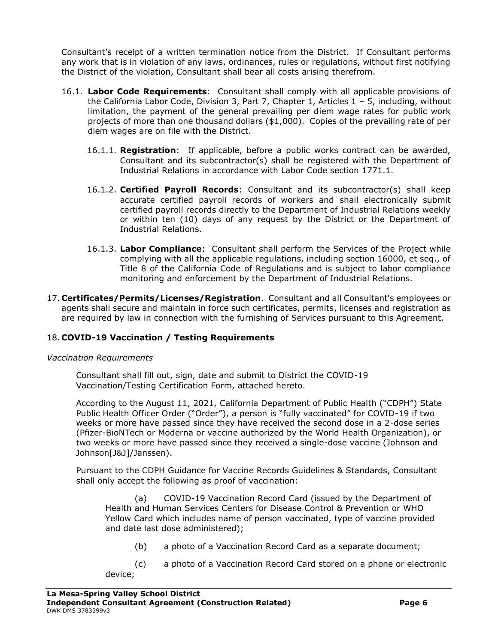Consultant's receipt of a written termination notice from the District. If Consultant performs any work that is in violation of any laws, ordinances, rules or regulations, without first notifying the District of the violation, Consultant shall bear all costs arising therefrom.

- 16.1. **Labor Code Requirements**: Consultant shall comply with all applicable provisions of the California Labor Code, Division 3, Part 7, Chapter 1, Articles 1 – 5, including, without limitation, the payment of the general prevailing per diem wage rates for public work projects of more than one thousand dollars (\$1,000). Copies of the prevailing rate of per diem wages are on file with the District.
	- 16.1.1. **Registration**: If applicable, before a public works contract can be awarded, Consultant and its subcontractor(s) shall be registered with the Department of Industrial Relations in accordance with Labor Code section 1771.1.
	- 16.1.2. **Certified Payroll Records**: Consultant and its subcontractor(s) shall keep accurate certified payroll records of workers and shall electronically submit certified payroll records directly to the Department of Industrial Relations weekly or within ten (10) days of any request by the District or the Department of Industrial Relations.
	- 16.1.3. **Labor Compliance**: Consultant shall perform the Services of the Project while complying with all the applicable regulations, including section 16000, et seq., of Title 8 of the California Code of Regulations and is subject to labor compliance monitoring and enforcement by the Department of Industrial Relations.
- 17. **Certificates/Permits/Licenses/Registration**. Consultant and all Consultant's employees or agents shall secure and maintain in force such certificates, permits, licenses and registration as are required by law in connection with the furnishing of Services pursuant to this Agreement.

## 18. **COVID-19 Vaccination / Testing Requirements**

### *Vaccination Requirements*

Consultant shall fill out, sign, date and submit to District the COVID-19 Vaccination/Testing Certification Form, attached hereto.

According to the August 11, 2021, California Department of Public Health ("CDPH") State Public Health Officer Order ("Order"), a person is "fully vaccinated" for COVID-19 if two weeks or more have passed since they have received the second dose in a 2-dose series (Pfizer-BioNTech or Moderna or vaccine authorized by the World Health Organization), or two weeks or more have passed since they received a single-dose vaccine (Johnson and Johnson[J&J]/Janssen).

Pursuant to the CDPH Guidance for Vaccine Records Guidelines & Standards, Consultant shall only accept the following as proof of vaccination:

(a) COVID-19 Vaccination Record Card (issued by the Department of Health and Human Services Centers for Disease Control & Prevention or WHO Yellow Card which includes name of person vaccinated, type of vaccine provided and date last dose administered);

- (b) a photo of a Vaccination Record Card as a separate document;
- (c) a photo of a Vaccination Record Card stored on a phone or electronic device;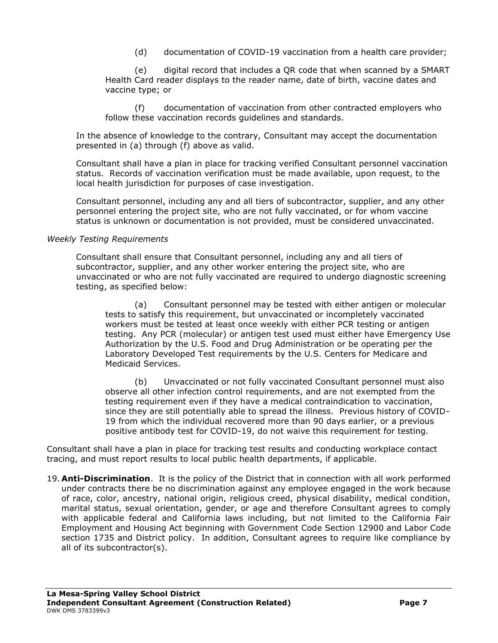(d) documentation of COVID-19 vaccination from a health care provider;

(e) digital record that includes a QR code that when scanned by a SMART Health Card reader displays to the reader name, date of birth, vaccine dates and vaccine type; or

(f) documentation of vaccination from other contracted employers who follow these vaccination records guidelines and standards.

In the absence of knowledge to the contrary, Consultant may accept the documentation presented in (a) through (f) above as valid.

Consultant shall have a plan in place for tracking verified Consultant personnel vaccination status. Records of vaccination verification must be made available, upon request, to the local health jurisdiction for purposes of case investigation.

Consultant personnel, including any and all tiers of subcontractor, supplier, and any other personnel entering the project site, who are not fully vaccinated, or for whom vaccine status is unknown or documentation is not provided, must be considered unvaccinated.

#### *Weekly Testing Requirements*

Consultant shall ensure that Consultant personnel, including any and all tiers of subcontractor, supplier, and any other worker entering the project site, who are unvaccinated or who are not fully vaccinated are required to undergo diagnostic screening testing, as specified below:

(a) Consultant personnel may be tested with either antigen or molecular tests to satisfy this requirement, but unvaccinated or incompletely vaccinated workers must be tested at least once weekly with either PCR testing or antigen testing. Any PCR (molecular) or antigen test used must either have Emergency Use Authorization by the U.S. Food and Drug Administration or be operating per the Laboratory Developed Test requirements by the U.S. Centers for Medicare and Medicaid Services.

(b) Unvaccinated or not fully vaccinated Consultant personnel must also observe all other infection control requirements, and are not exempted from the testing requirement even if they have a medical contraindication to vaccination, since they are still potentially able to spread the illness. Previous history of COVID-19 from which the individual recovered more than 90 days earlier, or a previous positive antibody test for COVID-19, do not waive this requirement for testing.

Consultant shall have a plan in place for tracking test results and conducting workplace contact tracing, and must report results to local public health departments, if applicable.

19. **Anti-Discrimination**. It is the policy of the District that in connection with all work performed under contracts there be no discrimination against any employee engaged in the work because of race, color, ancestry, national origin, religious creed, physical disability, medical condition, marital status, sexual orientation, gender, or age and therefore Consultant agrees to comply with applicable federal and California laws including, but not limited to the California Fair Employment and Housing Act beginning with Government Code Section 12900 and Labor Code section 1735 and District policy. In addition, Consultant agrees to require like compliance by all of its subcontractor(s).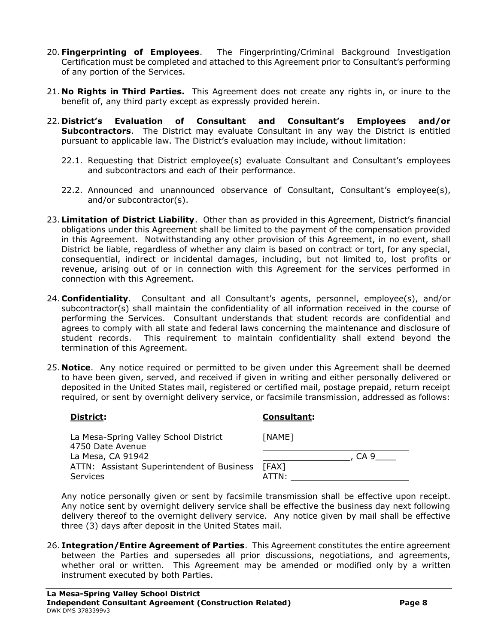- 20. **Fingerprinting of Employees**.The Fingerprinting/Criminal Background Investigation Certification must be completed and attached to this Agreement prior to Consultant's performing of any portion of the Services.
- 21. **No Rights in Third Parties.** This Agreement does not create any rights in, or inure to the benefit of, any third party except as expressly provided herein.
- 22. **District's Evaluation of Consultant and Consultant's Employees and/or Subcontractors**. The District may evaluate Consultant in any way the District is entitled pursuant to applicable law. The District's evaluation may include, without limitation:
	- 22.1. Requesting that District employee(s) evaluate Consultant and Consultant's employees and subcontractors and each of their performance.
	- 22.2. Announced and unannounced observance of Consultant, Consultant's employee(s), and/or subcontractor(s).
- 23. **Limitation of District Liability**. Other than as provided in this Agreement, District's financial obligations under this Agreement shall be limited to the payment of the compensation provided in this Agreement. Notwithstanding any other provision of this Agreement, in no event, shall District be liable, regardless of whether any claim is based on contract or tort, for any special, consequential, indirect or incidental damages, including, but not limited to, lost profits or revenue, arising out of or in connection with this Agreement for the services performed in connection with this Agreement.
- 24. **Confidentiality**. Consultant and all Consultant's agents, personnel, employee(s), and/or subcontractor(s) shall maintain the confidentiality of all information received in the course of performing the Services. Consultant understands that student records are confidential and agrees to comply with all state and federal laws concerning the maintenance and disclosure of student records. This requirement to maintain confidentiality shall extend beyond the termination of this Agreement.
- 25. **Notice**. Any notice required or permitted to be given under this Agreement shall be deemed to have been given, served, and received if given in writing and either personally delivered or deposited in the United States mail, registered or certified mail, postage prepaid, return receipt required, or sent by overnight delivery service, or facsimile transmission, addressed as follows:

| District:                                                 | <b>Consultant:</b> |
|-----------------------------------------------------------|--------------------|
| La Mesa-Spring Valley School District<br>4750 Date Avenue | [NAME]             |
| La Mesa, CA 91942                                         | CA 9               |
| ATTN: Assistant Superintendent of Business                | [FAX]              |
| Services                                                  | ATTN:              |

Any notice personally given or sent by facsimile transmission shall be effective upon receipt. Any notice sent by overnight delivery service shall be effective the business day next following delivery thereof to the overnight delivery service. Any notice given by mail shall be effective three (3) days after deposit in the United States mail.

26. **Integration/Entire Agreement of Parties**. This Agreement constitutes the entire agreement between the Parties and supersedes all prior discussions, negotiations, and agreements, whether oral or written. This Agreement may be amended or modified only by a written instrument executed by both Parties.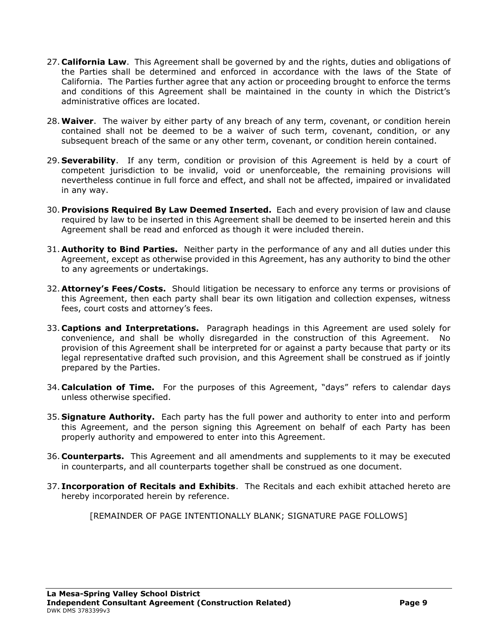- 27. **California Law**. This Agreement shall be governed by and the rights, duties and obligations of the Parties shall be determined and enforced in accordance with the laws of the State of California. The Parties further agree that any action or proceeding brought to enforce the terms and conditions of this Agreement shall be maintained in the county in which the District's administrative offices are located.
- 28.**Waiver**. The waiver by either party of any breach of any term, covenant, or condition herein contained shall not be deemed to be a waiver of such term, covenant, condition, or any subsequent breach of the same or any other term, covenant, or condition herein contained.
- 29. **Severability**. If any term, condition or provision of this Agreement is held by a court of competent jurisdiction to be invalid, void or unenforceable, the remaining provisions will nevertheless continue in full force and effect, and shall not be affected, impaired or invalidated in any way.
- 30. **Provisions Required By Law Deemed Inserted.** Each and every provision of law and clause required by law to be inserted in this Agreement shall be deemed to be inserted herein and this Agreement shall be read and enforced as though it were included therein.
- 31. **Authority to Bind Parties.** Neither party in the performance of any and all duties under this Agreement, except as otherwise provided in this Agreement, has any authority to bind the other to any agreements or undertakings.
- 32. **Attorney's Fees/Costs.** Should litigation be necessary to enforce any terms or provisions of this Agreement, then each party shall bear its own litigation and collection expenses, witness fees, court costs and attorney's fees.
- 33. **Captions and Interpretations.** Paragraph headings in this Agreement are used solely for convenience, and shall be wholly disregarded in the construction of this Agreement. No provision of this Agreement shall be interpreted for or against a party because that party or its legal representative drafted such provision, and this Agreement shall be construed as if jointly prepared by the Parties.
- 34. **Calculation of Time.** For the purposes of this Agreement, "days" refers to calendar days unless otherwise specified.
- 35. **Signature Authority.** Each party has the full power and authority to enter into and perform this Agreement, and the person signing this Agreement on behalf of each Party has been properly authority and empowered to enter into this Agreement.
- 36. **Counterparts.** This Agreement and all amendments and supplements to it may be executed in counterparts, and all counterparts together shall be construed as one document.
- 37. **Incorporation of Recitals and Exhibits**. The Recitals and each exhibit attached hereto are hereby incorporated herein by reference.

[REMAINDER OF PAGE INTENTIONALLY BLANK; SIGNATURE PAGE FOLLOWS]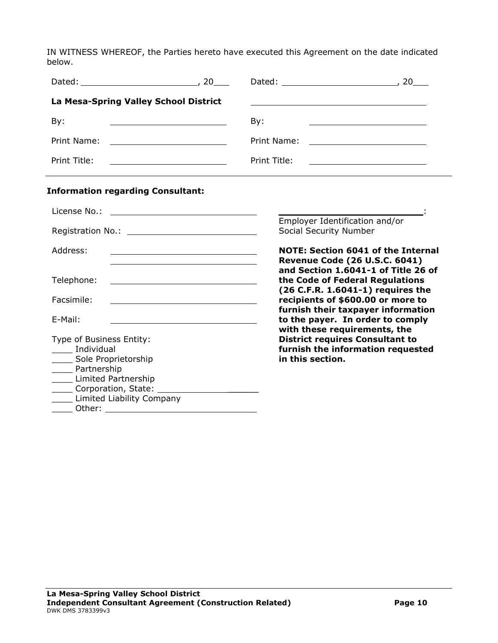IN WITNESS WHEREOF, the Parties hereto have executed this Agreement on the date indicated below.

|                                                                                                               | La Mesa-Spring Valley School District                       |                        |                                                                                                                                                     |
|---------------------------------------------------------------------------------------------------------------|-------------------------------------------------------------|------------------------|-----------------------------------------------------------------------------------------------------------------------------------------------------|
| By:                                                                                                           |                                                             | By:                    |                                                                                                                                                     |
| Print Name:                                                                                                   |                                                             | Print Name:            |                                                                                                                                                     |
| Print Title:                                                                                                  |                                                             | Print Title:           | <u> 1989 - Johann Barbara, martin amerikan basar dan basa dan basa dan basa dalam basa dalam basa dalam basa dala</u>                               |
|                                                                                                               | <b>Information regarding Consultant:</b>                    |                        |                                                                                                                                                     |
| License No.:                                                                                                  | <u> 1990 - John Stein, Amerikaansk politiker (</u>          |                        |                                                                                                                                                     |
|                                                                                                               |                                                             | Social Security Number | Employer Identification and/or                                                                                                                      |
| Address:                                                                                                      |                                                             |                        | <b>NOTE: Section 6041 of the Internal</b>                                                                                                           |
| Telephone:                                                                                                    | <u> 1999 - Johann Barbara, martin amerikan basar da</u>     |                        | <b>Revenue Code (26 U.S.C. 6041)</b><br>and Section 1.6041-1 of Title 26 of<br>the Code of Federal Regulations<br>(26 C.F.R. 1.6041-1) requires the |
| Facsimile:                                                                                                    | <u> 1989 - Johann Stoff, Amerikaansk politiker (* 1908)</u> |                        | recipients of \$600.00 or more to<br>furnish their taxpayer information                                                                             |
| E-Mail:                                                                                                       |                                                             |                        | to the payer. In order to comply<br>with these requirements, the                                                                                    |
| Type of Business Entity:<br>Individual<br>____ Sole Proprietorship<br>____ Partnership<br>Limited Partnership | Limited Liability Company                                   | in this section.       | <b>District requires Consultant to</b><br>furnish the information requested                                                                         |
|                                                                                                               |                                                             |                        |                                                                                                                                                     |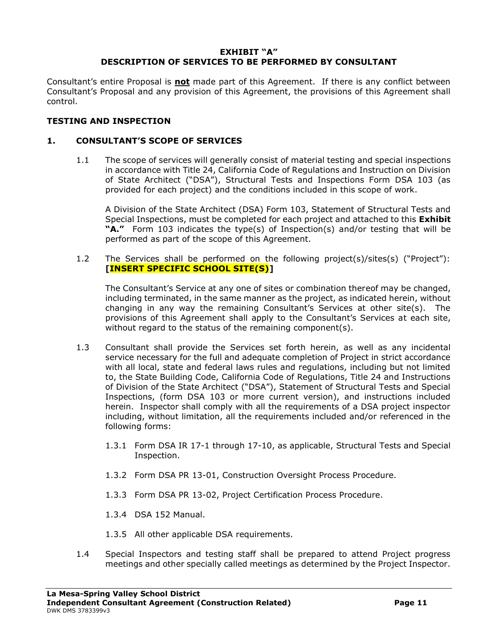### **EXHIBIT "A" DESCRIPTION OF SERVICES TO BE PERFORMED BY CONSULTANT**

Consultant's entire Proposal is **not** made part of this Agreement. If there is any conflict between Consultant's Proposal and any provision of this Agreement, the provisions of this Agreement shall control.

### **TESTING AND INSPECTION**

### **1. CONSULTANT'S SCOPE OF SERVICES**

1.1 The scope of services will generally consist of material testing and special inspections in accordance with Title 24, California Code of Regulations and Instruction on Division of State Architect ("DSA"), Structural Tests and Inspections Form DSA 103 (as provided for each project) and the conditions included in this scope of work.

A Division of the State Architect (DSA) Form 103, Statement of Structural Tests and Special Inspections, must be completed for each project and attached to this **Exhibit "A."** Form 103 indicates the type(s) of Inspection(s) and/or testing that will be performed as part of the scope of this Agreement.

1.2 The Services shall be performed on the following project(s)/sites(s) ("Project"): **[INSERT SPECIFIC SCHOOL SITE(S)]**

The Consultant's Service at any one of sites or combination thereof may be changed, including terminated, in the same manner as the project, as indicated herein, without changing in any way the remaining Consultant's Services at other site(s). The provisions of this Agreement shall apply to the Consultant's Services at each site, without regard to the status of the remaining component(s).

- 1.3 Consultant shall provide the Services set forth herein, as well as any incidental service necessary for the full and adequate completion of Project in strict accordance with all local, state and federal laws rules and regulations, including but not limited to, the State Building Code, California Code of Regulations, Title 24 and Instructions of Division of the State Architect ("DSA"), Statement of Structural Tests and Special Inspections, (form DSA 103 or more current version), and instructions included herein. Inspector shall comply with all the requirements of a DSA project inspector including, without limitation, all the requirements included and/or referenced in the following forms:
	- 1.3.1 Form DSA IR 17-1 through 17-10, as applicable, Structural Tests and Special Inspection.
	- 1.3.2 Form DSA PR 13-01, Construction Oversight Process Procedure.
	- 1.3.3 Form DSA PR 13-02, Project Certification Process Procedure.
	- 1.3.4 DSA 152 Manual.
	- 1.3.5 All other applicable DSA requirements.
- 1.4 Special Inspectors and testing staff shall be prepared to attend Project progress meetings and other specially called meetings as determined by the Project Inspector.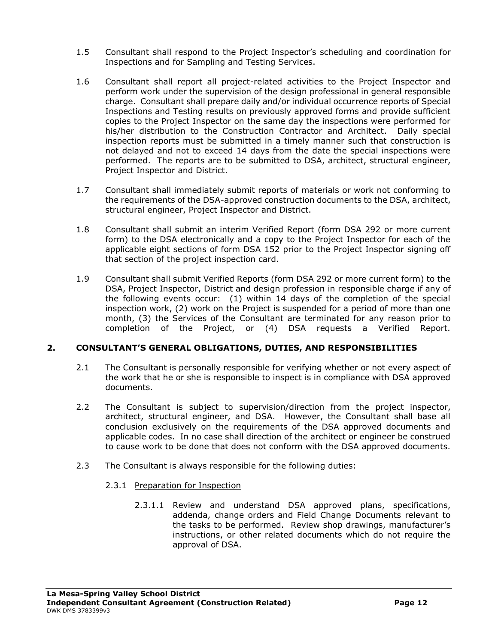- 1.5 Consultant shall respond to the Project Inspector's scheduling and coordination for Inspections and for Sampling and Testing Services.
- 1.6 Consultant shall report all project-related activities to the Project Inspector and perform work under the supervision of the design professional in general responsible charge. Consultant shall prepare daily and/or individual occurrence reports of Special Inspections and Testing results on previously approved forms and provide sufficient copies to the Project Inspector on the same day the inspections were performed for his/her distribution to the Construction Contractor and Architect. Daily special inspection reports must be submitted in a timely manner such that construction is not delayed and not to exceed 14 days from the date the special inspections were performed. The reports are to be submitted to DSA, architect, structural engineer, Project Inspector and District.
- 1.7 Consultant shall immediately submit reports of materials or work not conforming to the requirements of the DSA-approved construction documents to the DSA, architect, structural engineer, Project Inspector and District.
- 1.8 Consultant shall submit an interim Verified Report (form DSA 292 or more current form) to the DSA electronically and a copy to the Project Inspector for each of the applicable eight sections of form DSA 152 prior to the Project Inspector signing off that section of the project inspection card.
- 1.9 Consultant shall submit Verified Reports (form DSA 292 or more current form) to the DSA, Project Inspector, District and design profession in responsible charge if any of the following events occur: (1) within 14 days of the completion of the special inspection work, (2) work on the Project is suspended for a period of more than one month, (3) the Services of the Consultant are terminated for any reason prior to completion of the Project, or (4) DSA requests a Verified Report.

## **2. CONSULTANT'S GENERAL OBLIGATIONS, DUTIES, AND RESPONSIBILITIES**

- 2.1 The Consultant is personally responsible for verifying whether or not every aspect of the work that he or she is responsible to inspect is in compliance with DSA approved documents.
- 2.2 The Consultant is subject to supervision/direction from the project inspector, architect, structural engineer, and DSA. However, the Consultant shall base all conclusion exclusively on the requirements of the DSA approved documents and applicable codes. In no case shall direction of the architect or engineer be construed to cause work to be done that does not conform with the DSA approved documents.
- 2.3 The Consultant is always responsible for the following duties:
	- 2.3.1 Preparation for Inspection
		- 2.3.1.1 Review and understand DSA approved plans, specifications, addenda, change orders and Field Change Documents relevant to the tasks to be performed. Review shop drawings, manufacturer's instructions, or other related documents which do not require the approval of DSA.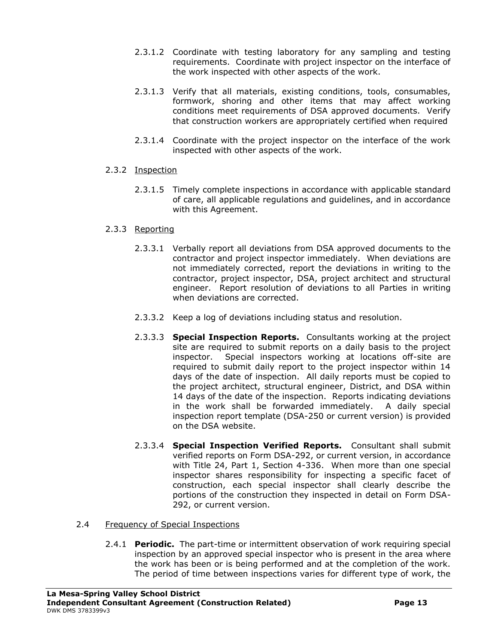- 2.3.1.2 Coordinate with testing laboratory for any sampling and testing requirements. Coordinate with project inspector on the interface of the work inspected with other aspects of the work.
- 2.3.1.3 Verify that all materials, existing conditions, tools, consumables, formwork, shoring and other items that may affect working conditions meet requirements of DSA approved documents. Verify that construction workers are appropriately certified when required
- 2.3.1.4 Coordinate with the project inspector on the interface of the work inspected with other aspects of the work.

### 2.3.2 Inspection

2.3.1.5 Timely complete inspections in accordance with applicable standard of care, all applicable regulations and guidelines, and in accordance with this Agreement.

## 2.3.3 Reporting

- 2.3.3.1 Verbally report all deviations from DSA approved documents to the contractor and project inspector immediately. When deviations are not immediately corrected, report the deviations in writing to the contractor, project inspector, DSA, project architect and structural engineer. Report resolution of deviations to all Parties in writing when deviations are corrected.
- 2.3.3.2 Keep a log of deviations including status and resolution.
- 2.3.3.3 **Special Inspection Reports.** Consultants working at the project site are required to submit reports on a daily basis to the project inspector. Special inspectors working at locations off-site are required to submit daily report to the project inspector within 14 days of the date of inspection. All daily reports must be copied to the project architect, structural engineer, District, and DSA within 14 days of the date of the inspection. Reports indicating deviations in the work shall be forwarded immediately. A daily special inspection report template (DSA-250 or current version) is provided on the DSA website.
- 2.3.3.4 **Special Inspection Verified Reports.** Consultant shall submit verified reports on Form DSA-292, or current version, in accordance with Title 24, Part 1, Section 4-336. When more than one special inspector shares responsibility for inspecting a specific facet of construction, each special inspector shall clearly describe the portions of the construction they inspected in detail on Form DSA-292, or current version.

## 2.4 Frequency of Special Inspections

2.4.1 **Periodic.** The part-time or intermittent observation of work requiring special inspection by an approved special inspector who is present in the area where the work has been or is being performed and at the completion of the work. The period of time between inspections varies for different type of work, the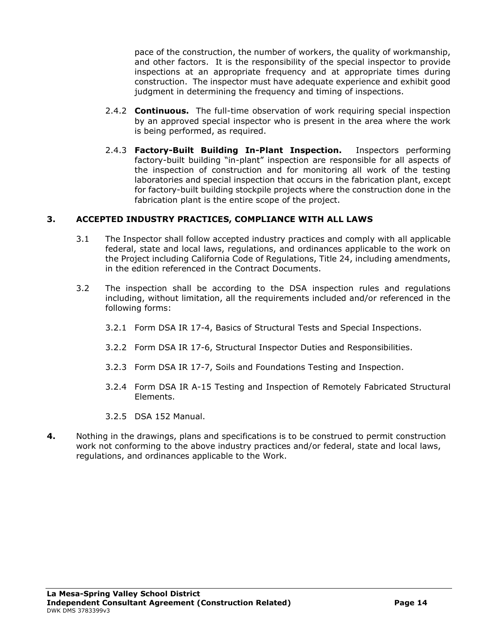pace of the construction, the number of workers, the quality of workmanship, and other factors. It is the responsibility of the special inspector to provide inspections at an appropriate frequency and at appropriate times during construction. The inspector must have adequate experience and exhibit good judgment in determining the frequency and timing of inspections.

- 2.4.2 **Continuous.** The full-time observation of work requiring special inspection by an approved special inspector who is present in the area where the work is being performed, as required.
- 2.4.3 **Factory-Built Building In-Plant Inspection.** Inspectors performing factory-built building "in-plant" inspection are responsible for all aspects of the inspection of construction and for monitoring all work of the testing laboratories and special inspection that occurs in the fabrication plant, except for factory-built building stockpile projects where the construction done in the fabrication plant is the entire scope of the project.

### **3. ACCEPTED INDUSTRY PRACTICES, COMPLIANCE WITH ALL LAWS**

- 3.1 The Inspector shall follow accepted industry practices and comply with all applicable federal, state and local laws, regulations, and ordinances applicable to the work on the Project including California Code of Regulations, Title 24, including amendments, in the edition referenced in the Contract Documents.
- 3.2 The inspection shall be according to the DSA inspection rules and regulations including, without limitation, all the requirements included and/or referenced in the following forms:
	- 3.2.1 Form DSA IR 17-4, Basics of Structural Tests and Special Inspections.
	- 3.2.2 Form DSA IR 17-6, Structural Inspector Duties and Responsibilities.
	- 3.2.3 Form DSA IR 17-7, Soils and Foundations Testing and Inspection.
	- 3.2.4 Form DSA IR A-15 Testing and Inspection of Remotely Fabricated Structural Elements.
	- 3.2.5 DSA 152 Manual.
- **4.** Nothing in the drawings, plans and specifications is to be construed to permit construction work not conforming to the above industry practices and/or federal, state and local laws, regulations, and ordinances applicable to the Work.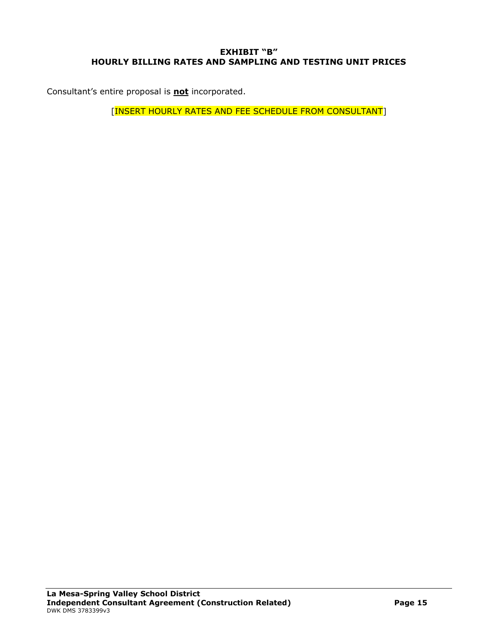### **EXHIBIT "B" HOURLY BILLING RATES AND SAMPLING AND TESTING UNIT PRICES**

Consultant's entire proposal is **not** incorporated.

[INSERT HOURLY RATES AND FEE SCHEDULE FROM CONSULTANT]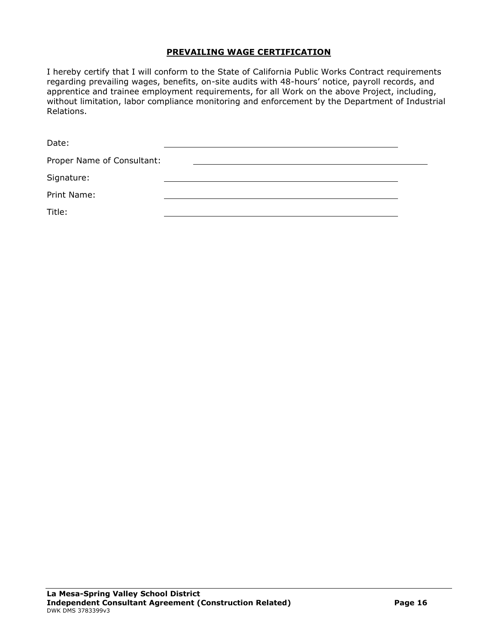### **PREVAILING WAGE CERTIFICATION**

I hereby certify that I will conform to the State of California Public Works Contract requirements regarding prevailing wages, benefits, on-site audits with 48-hours' notice, payroll records, and apprentice and trainee employment requirements, for all Work on the above Project, including, without limitation, labor compliance monitoring and enforcement by the Department of Industrial Relations.

| Date:                      |  |
|----------------------------|--|
| Proper Name of Consultant: |  |
| Signature:                 |  |
| Print Name:                |  |
| Title:                     |  |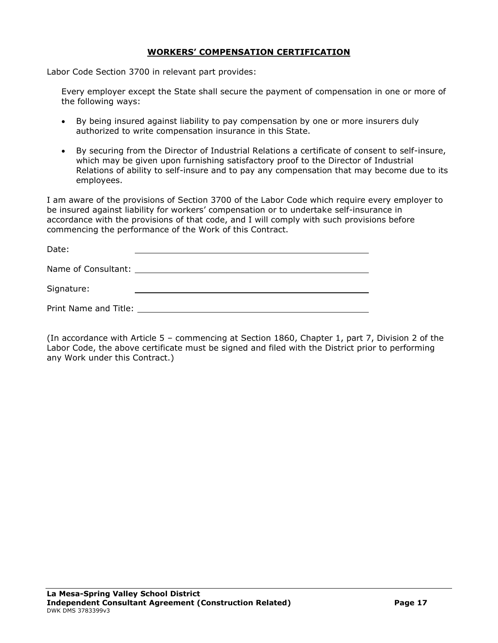### **WORKERS' COMPENSATION CERTIFICATION**

Labor Code Section 3700 in relevant part provides:

Every employer except the State shall secure the payment of compensation in one or more of the following ways:

- By being insured against liability to pay compensation by one or more insurers duly authorized to write compensation insurance in this State.
- By securing from the Director of Industrial Relations a certificate of consent to self-insure, which may be given upon furnishing satisfactory proof to the Director of Industrial Relations of ability to self-insure and to pay any compensation that may become due to its employees.

I am aware of the provisions of Section 3700 of the Labor Code which require every employer to be insured against liability for workers' compensation or to undertake self-insurance in accordance with the provisions of that code, and I will comply with such provisions before commencing the performance of the Work of this Contract.

| Date:                 |  |
|-----------------------|--|
|                       |  |
| Signature:            |  |
| Print Name and Title: |  |

(In accordance with Article 5 – commencing at Section 1860, Chapter 1, part 7, Division 2 of the Labor Code, the above certificate must be signed and filed with the District prior to performing any Work under this Contract.)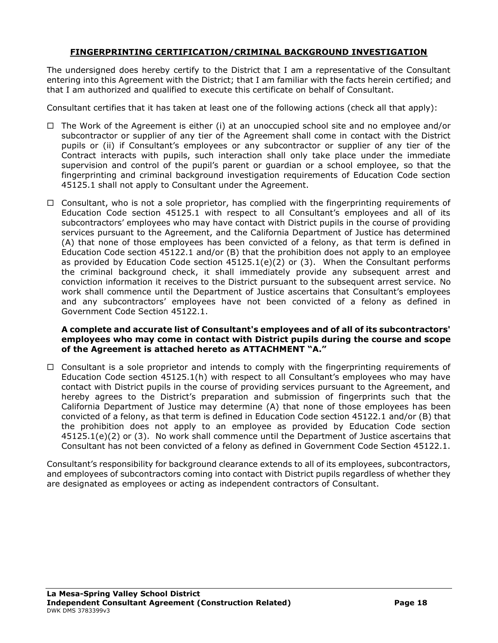### **FINGERPRINTING CERTIFICATION/CRIMINAL BACKGROUND INVESTIGATION**

The undersigned does hereby certify to the District that I am a representative of the Consultant entering into this Agreement with the District; that I am familiar with the facts herein certified; and that I am authorized and qualified to execute this certificate on behalf of Consultant.

Consultant certifies that it has taken at least one of the following actions (check all that apply):

- $\Box$  The Work of the Agreement is either (i) at an unoccupied school site and no employee and/or subcontractor or supplier of any tier of the Agreement shall come in contact with the District pupils or (ii) if Consultant's employees or any subcontractor or supplier of any tier of the Contract interacts with pupils, such interaction shall only take place under the immediate supervision and control of the pupil's parent or guardian or a school employee, so that the fingerprinting and criminal background investigation requirements of Education Code section 45125.1 shall not apply to Consultant under the Agreement.
- $\Box$  Consultant, who is not a sole proprietor, has complied with the fingerprinting requirements of Education Code section 45125.1 with respect to all Consultant's employees and all of its subcontractors' employees who may have contact with District pupils in the course of providing services pursuant to the Agreement, and the California Department of Justice has determined (A) that none of those employees has been convicted of a felony, as that term is defined in Education Code section 45122.1 and/or (B) that the prohibition does not apply to an employee as provided by Education Code section  $45125.1(e)(2)$  or (3). When the Consultant performs the criminal background check, it shall immediately provide any subsequent arrest and conviction information it receives to the District pursuant to the subsequent arrest service. No work shall commence until the Department of Justice ascertains that Consultant's employees and any subcontractors' employees have not been convicted of a felony as defined in Government Code Section 45122.1.

#### **A complete and accurate list of Consultant's employees and of all of its subcontractors' employees who may come in contact with District pupils during the course and scope of the Agreement is attached hereto as ATTACHMENT "A."**

 $\Box$  Consultant is a sole proprietor and intends to comply with the fingerprinting requirements of Education Code section 45125.1(h) with respect to all Consultant's employees who may have contact with District pupils in the course of providing services pursuant to the Agreement, and hereby agrees to the District's preparation and submission of fingerprints such that the California Department of Justice may determine (A) that none of those employees has been convicted of a felony, as that term is defined in Education Code section 45122.1 and/or (B) that the prohibition does not apply to an employee as provided by Education Code section 45125.1(e)(2) or (3). No work shall commence until the Department of Justice ascertains that Consultant has not been convicted of a felony as defined in Government Code Section 45122.1.

Consultant's responsibility for background clearance extends to all of its employees, subcontractors, and employees of subcontractors coming into contact with District pupils regardless of whether they are designated as employees or acting as independent contractors of Consultant.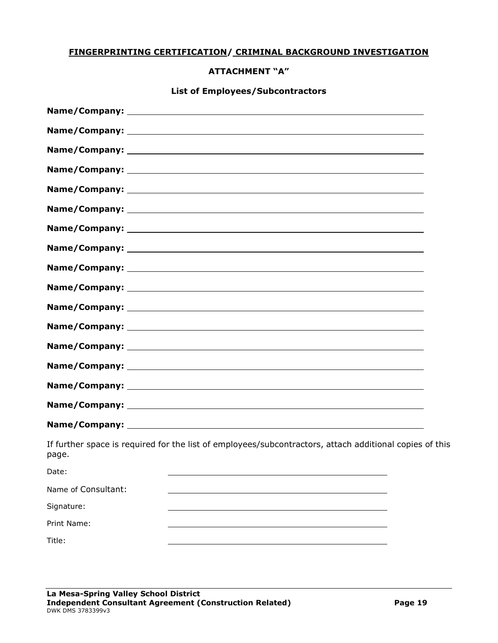### **FINGERPRINTING CERTIFICATION/ CRIMINAL BACKGROUND INVESTIGATION**

### **ATTACHMENT "A"**

| If further space is required for the list of employees/subcontractors, attach additional copies of this<br>page. |
|------------------------------------------------------------------------------------------------------------------|
| Date:                                                                                                            |
| Name of Consultant:                                                                                              |
| Signature:                                                                                                       |
| Print Name:                                                                                                      |
| Title:                                                                                                           |